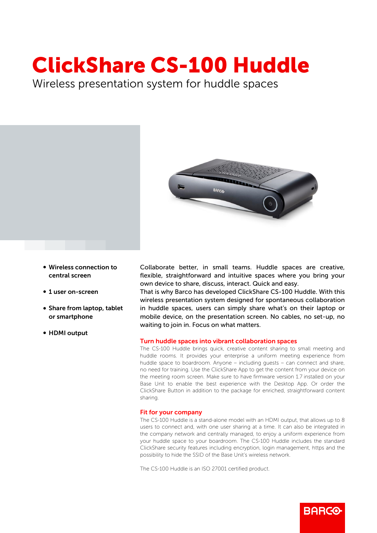## ClickShare CS-100 Huddle

Wireless presentation system for huddle spaces



- Wireless connection to central screen
- 1 user on-screen
- Share from laptop, tablet or smartphone
- HDMI output

Collaborate better, in small teams. Huddle spaces are creative, flexible, straightforward and intuitive spaces where you bring your own device to share, discuss, interact. Quick and easy.

That is why Barco has developed ClickShare CS-100 Huddle. With this wireless presentation system designed for spontaneous collaboration in huddle spaces, users can simply share what's on their laptop or mobile device, on the presentation screen. No cables, no set-up, no waiting to join in. Focus on what matters.

## Turn huddle spaces into vibrant collaboration spaces

The CS-100 Huddle brings quick, creative content sharing to small meeting and huddle rooms. It provides your enterprise a uniform meeting experience from huddle space to boardroom. Anyone – including guests – can connect and share, no need for training. Use the ClickShare App to get the content from your device on the meeting room screen. Make sure to have firmware version 1.7 installed on your Base Unit to enable the best experience with the Desktop App. Or order the ClickShare Button in addition to the package for enriched, straightforward content sharing.

## Fit for your company

The CS-100 Huddle is a stand-alone model with an HDMI output, that allows up to 8 users to connect and, with one user sharing at a time. It can also be integrated in the company network and centrally managed, to enjoy a uniform experience from your huddle space to your boardroom. The CS-100 Huddle includes the standard ClickShare security features including encryption, login management, https and the possibility to hide the SSID of the Base Unit's wireless network.

**BARGO** 

The CS-100 Huddle is an ISO 27001 certified product.